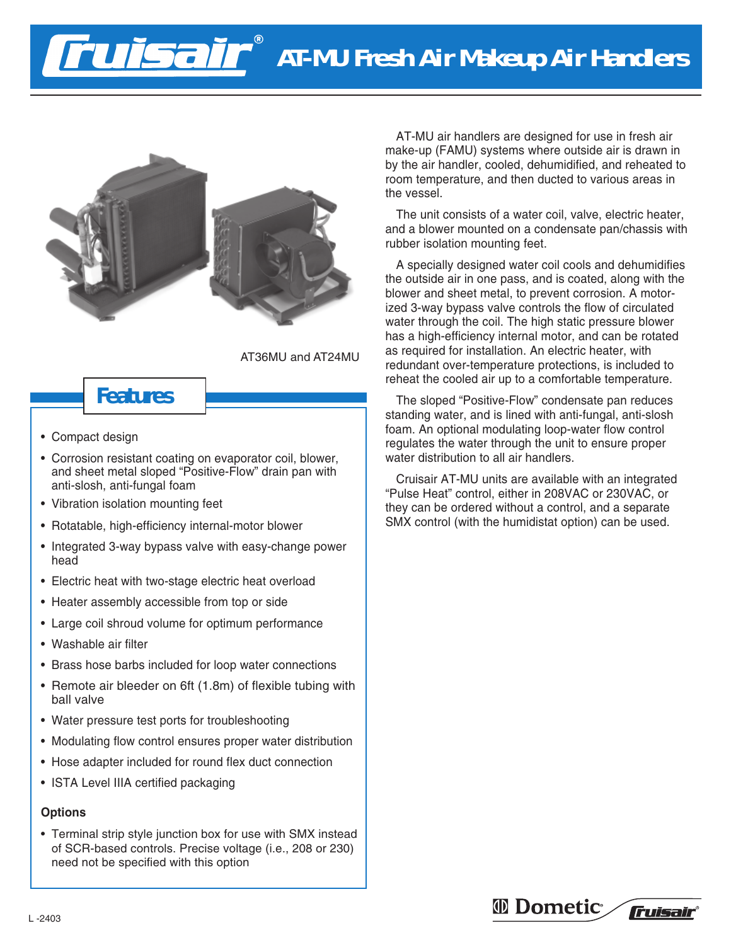# **AT-MU Fresh Air Makeup Air Handlers**



Tisair

AT36MU and AT24MU

## **Features**

- Compact design
- Corrosion resistant coating on evaporator coil, blower, and sheet metal sloped "Positive-Flow" drain pan with anti-slosh, anti-fungal foam
- Vibration isolation mounting feet
- Rotatable, high-efficiency internal-motor blower
- Integrated 3-way bypass valve with easy-change power head
- Electric heat with two-stage electric heat overload
- Heater assembly accessible from top or side
- Large coil shroud volume for optimum performance
- Washable air filter
- Brass hose barbs included for loop water connections
- Remote air bleeder on 6ft (1.8m) of flexible tubing with ball valve
- Water pressure test ports for troubleshooting
- Modulating flow control ensures proper water distribution
- Hose adapter included for round flex duct connection
- ISTA Level IIIA certified packaging

### **Options**

• Terminal strip style junction box for use with SMX instead of SCR-based controls. Precise voltage (i.e., 208 or 230) need not be specified with this option

AT-MU air handlers are designed for use in fresh air make-up (FAMU) systems where outside air is drawn in by the air handler, cooled, dehumidified, and reheated to room temperature, and then ducted to various areas in the vessel.

The unit consists of a water coil, valve, electric heater, and a blower mounted on a condensate pan/chassis with rubber isolation mounting feet.

A specially designed water coil cools and dehumidifies the outside air in one pass, and is coated, along with the blower and sheet metal, to prevent corrosion. A motorized 3-way bypass valve controls the flow of circulated water through the coil. The high static pressure blower has a high-efficiency internal motor, and can be rotated as required for installation. An electric heater, with redundant over-temperature protections, is included to reheat the cooled air up to a comfortable temperature.

The sloped "Positive-Flow" condensate pan reduces standing water, and is lined with anti-fungal, anti-slosh foam. An optional modulating loop-water flow control regulates the water through the unit to ensure proper water distribution to all air handlers.

Cruisair AT-MU units are available with an integrated "Pulse Heat" control, either in 208VAC or 230VAC, or they can be ordered without a control, and a separate SMX control (with the humidistat option) can be used.

### *I* Dometic<sup>®</sup>